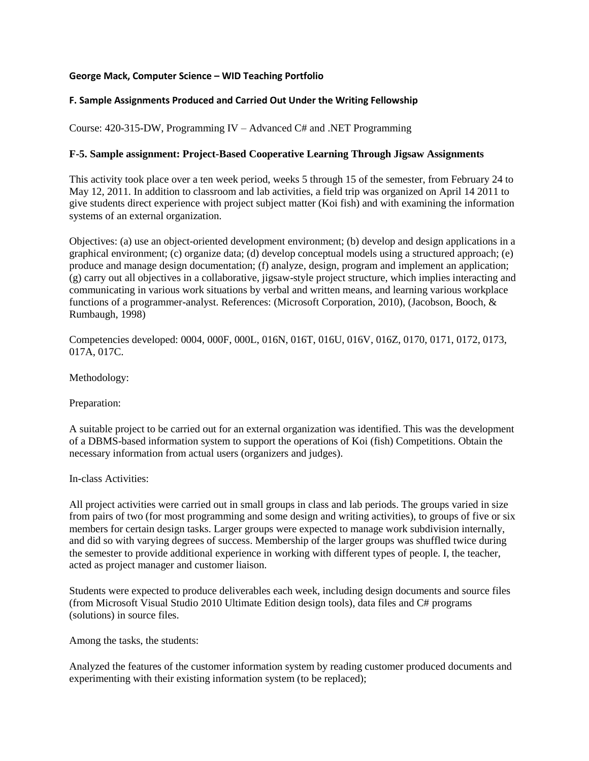## **George Mack, Computer Science – WID Teaching Portfolio**

## **F. Sample Assignments Produced and Carried Out Under the Writing Fellowship**

Course: 420-315-DW, Programming IV – Advanced C# and .NET Programming

## **F-5. Sample assignment: Project-Based Cooperative Learning Through Jigsaw Assignments**

This activity took place over a ten week period, weeks 5 through 15 of the semester, from February 24 to May 12, 2011. In addition to classroom and lab activities, a field trip was organized on April 14 2011 to give students direct experience with project subject matter (Koi fish) and with examining the information systems of an external organization.

Objectives: (a) use an object-oriented development environment; (b) develop and design applications in a graphical environment; (c) organize data; (d) develop conceptual models using a structured approach; (e) produce and manage design documentation; (f) analyze, design, program and implement an application; (g) carry out all objectives in a collaborative, jigsaw-style project structure, which implies interacting and communicating in various work situations by verbal and written means, and learning various workplace functions of a programmer-analyst. References: (Microsoft Corporation, 2010), (Jacobson, Booch, & Rumbaugh, 1998)

Competencies developed: 0004, 000F, 000L, 016N, 016T, 016U, 016V, 016Z, 0170, 0171, 0172, 0173, 017A, 017C.

Methodology:

Preparation:

A suitable project to be carried out for an external organization was identified. This was the development of a DBMS-based information system to support the operations of Koi (fish) Competitions. Obtain the necessary information from actual users (organizers and judges).

In-class Activities:

All project activities were carried out in small groups in class and lab periods. The groups varied in size from pairs of two (for most programming and some design and writing activities), to groups of five or six members for certain design tasks. Larger groups were expected to manage work subdivision internally, and did so with varying degrees of success. Membership of the larger groups was shuffled twice during the semester to provide additional experience in working with different types of people. I, the teacher, acted as project manager and customer liaison.

Students were expected to produce deliverables each week, including design documents and source files (from Microsoft Visual Studio 2010 Ultimate Edition design tools), data files and C# programs (solutions) in source files.

Among the tasks, the students:

Analyzed the features of the customer information system by reading customer produced documents and experimenting with their existing information system (to be replaced);